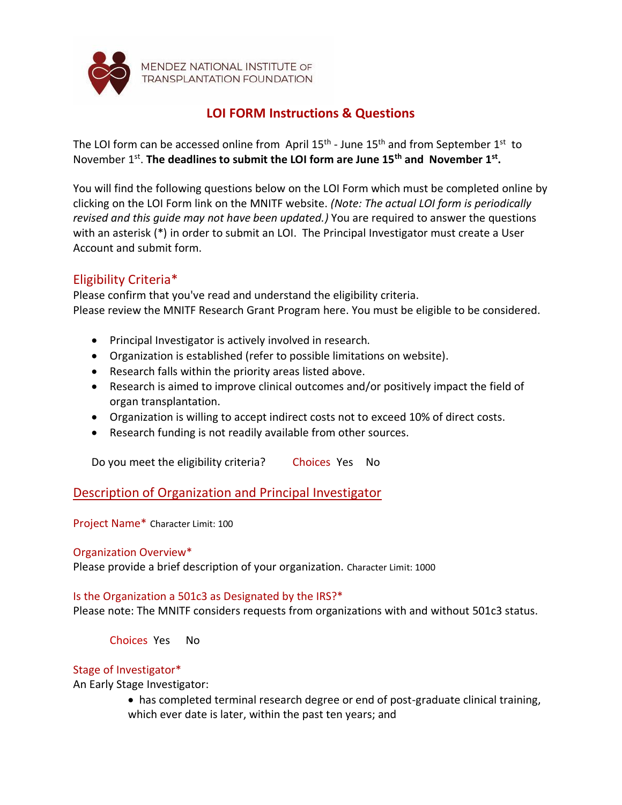

MENDEZ NATIONAL INSTITUTE OF **TRANSPLANTATION FOUNDATION** 

# **LOI FORM Instructions & Questions**

The LOI form can be accessed online from April  $15<sup>th</sup>$  - June  $15<sup>th</sup>$  and from September  $1<sup>st</sup>$  to November 1<sup>st</sup>. The deadlines to submit the LOI form are June 15<sup>th</sup> and November 1<sup>st</sup>.

You will find the following questions below on the LOI Form which must be completed online by clicking on the LOI Form link on the MNITF website. *(Note: The actual LOI form is periodically revised and this guide may not have been updated.)* You are required to answer the questions with an asterisk (\*) in order to submit an LOI. The Principal Investigator must create a User Account and submit form.

# Eligibility Criteria\*

Please confirm that you've read and understand the eligibility criteria. Please review the MNITF Research Grant Program here. You must be eligible to be considered.

- Principal Investigator is actively involved in research.
- Organization is established (refer to possible limitations on website).
- Research falls within the priority areas listed above.
- Research is aimed to improve clinical outcomes and/or positively impact the field of organ transplantation.
- Organization is willing to accept indirect costs not to exceed 10% of direct costs.
- Research funding is not readily available from other sources.

Do you meet the eligibility criteria? Choices Yes No

# Description of Organization and Principal Investigator

Project Name\* Character Limit: 100

## Organization Overview\*

Please provide a brief description of your organization. Character Limit: 1000

## Is the Organization a 501c3 as Designated by the IRS?\*

Please note: The MNITF considers requests from organizations with and without 501c3 status.

Choices Yes No

## Stage of Investigator\*

An Early Stage Investigator:

• has completed terminal research degree or end of post-graduate clinical training, which ever date is later, within the past ten years; and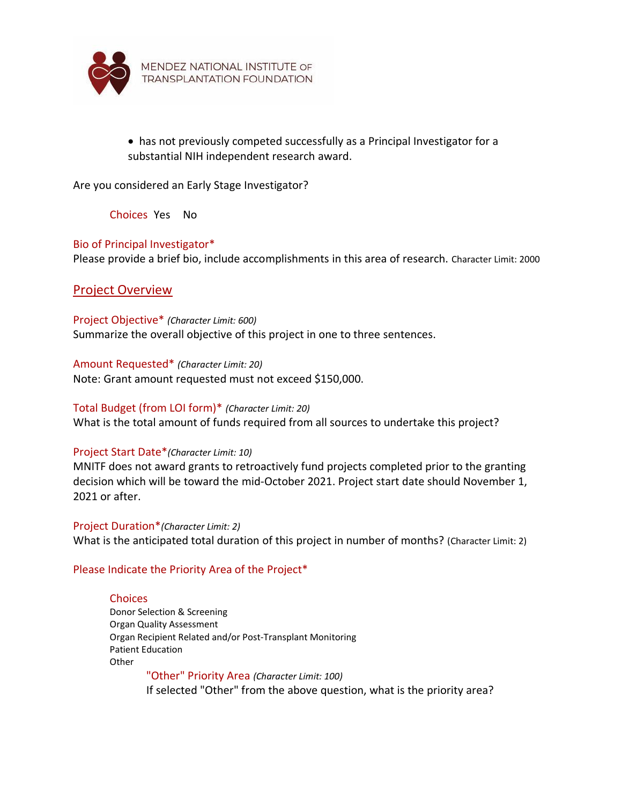

• has not previously competed successfully as a Principal Investigator for a substantial NIH independent research award.

Are you considered an Early Stage Investigator?

Choices Yes No

### Bio of Principal Investigator\*

Please provide a brief bio, include accomplishments in this area of research. Character Limit: 2000

## Project Overview

Project Objective\* *(Character Limit: 600)* Summarize the overall objective of this project in one to three sentences.

Amount Requested\* *(Character Limit: 20)* Note: Grant amount requested must not exceed \$150,000.

#### Total Budget (from LOI form)\* *(Character Limit: 20)*

What is the total amount of funds required from all sources to undertake this project?

#### Project Start Date\**(Character Limit: 10)*

MNITF does not award grants to retroactively fund projects completed prior to the granting decision which will be toward the mid-October 2021. Project start date should November 1, 2021 or after.

Project Duration\**(Character Limit: 2)* What is the anticipated total duration of this project in number of months? (Character Limit: 2)

### Please Indicate the Priority Area of the Project\*

#### **Choices**

Donor Selection & Screening Organ Quality Assessment Organ Recipient Related and/or Post-Transplant Monitoring Patient Education **Other** 

"Other" Priority Area *(Character Limit: 100)* If selected "Other" from the above question, what is the priority area?